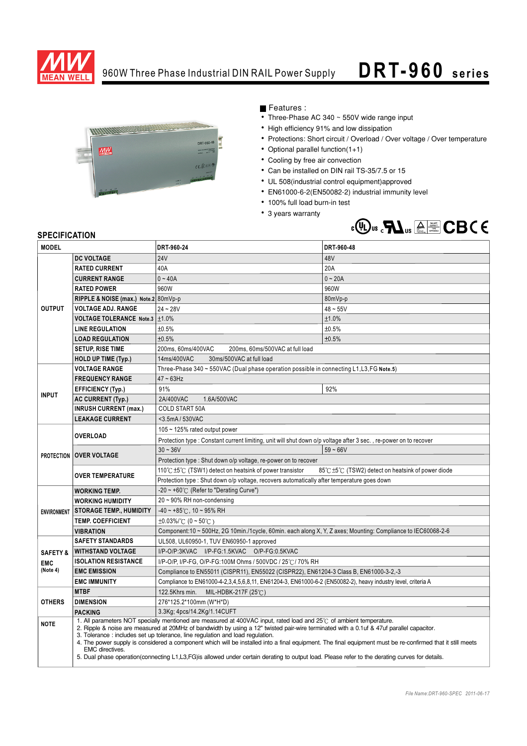

## 960W Three Phase Industrial DIN RAIL Power Supply

## **DRT- 960 series**



Features :

- Three-Phase AC 340 ~ 550V wide range input
- High efficiency 91% and low dissipation
- Protections: Short circuit / Overload / Over voltage / Over temperature
- Optional parallel function $(1+1)$
- Cooling by free air convection
- Can be installed on DIN rail TS-35/7.5 or 15
- UL 508(industrial control equipment)approved
- EN61000-6-2(EN50082-2) industrial immunity level
- 100% full load burn-in test
- 3 years warranty



## **SPECIFICATION**

| <b>MODEL</b>        |                                                                                                                                                                                                                                                                                                                                                                                                                                                                                                                                                                                                                                                                                         | DRT-960-24                                                                                                                       | DRT-960-48 |
|---------------------|-----------------------------------------------------------------------------------------------------------------------------------------------------------------------------------------------------------------------------------------------------------------------------------------------------------------------------------------------------------------------------------------------------------------------------------------------------------------------------------------------------------------------------------------------------------------------------------------------------------------------------------------------------------------------------------------|----------------------------------------------------------------------------------------------------------------------------------|------------|
| <b>OUTPUT</b>       | <b>DC VOLTAGE</b>                                                                                                                                                                                                                                                                                                                                                                                                                                                                                                                                                                                                                                                                       | <b>24V</b>                                                                                                                       | 48V        |
|                     | <b>RATED CURRENT</b>                                                                                                                                                                                                                                                                                                                                                                                                                                                                                                                                                                                                                                                                    | 40A                                                                                                                              | 20A        |
|                     | <b>CURRENT RANGE</b>                                                                                                                                                                                                                                                                                                                                                                                                                                                                                                                                                                                                                                                                    | $0 - 40A$                                                                                                                        | $0 - 20A$  |
|                     | <b>RATED POWER</b>                                                                                                                                                                                                                                                                                                                                                                                                                                                                                                                                                                                                                                                                      | 960W                                                                                                                             | 960W       |
|                     | RIPPLE & NOISE (max.) Note.2 80mVp-p                                                                                                                                                                                                                                                                                                                                                                                                                                                                                                                                                                                                                                                    |                                                                                                                                  | 80mVp-p    |
|                     | <b>VOLTAGE ADJ. RANGE</b>                                                                                                                                                                                                                                                                                                                                                                                                                                                                                                                                                                                                                                                               | $24 - 28V$                                                                                                                       | $48 - 55V$ |
|                     | VOLTAGE TOLERANCE Note.3   ±1.0%                                                                                                                                                                                                                                                                                                                                                                                                                                                                                                                                                                                                                                                        |                                                                                                                                  | ±1.0%      |
|                     | <b>LINE REGULATION</b>                                                                                                                                                                                                                                                                                                                                                                                                                                                                                                                                                                                                                                                                  | ±0.5%                                                                                                                            | ±0.5%      |
|                     | <b>LOAD REGULATION</b>                                                                                                                                                                                                                                                                                                                                                                                                                                                                                                                                                                                                                                                                  | ±0.5%                                                                                                                            | ±0.5%      |
|                     | <b>SETUP, RISE TIME</b>                                                                                                                                                                                                                                                                                                                                                                                                                                                                                                                                                                                                                                                                 | 200ms, 60ms/400VAC<br>200ms, 60ms/500VAC at full load                                                                            |            |
|                     | <b>HOLD UP TIME (Typ.)</b>                                                                                                                                                                                                                                                                                                                                                                                                                                                                                                                                                                                                                                                              | 30ms/500VAC at full load<br>14ms/400VAC                                                                                          |            |
| <b>INPUT</b>        | <b>VOLTAGE RANGE</b>                                                                                                                                                                                                                                                                                                                                                                                                                                                                                                                                                                                                                                                                    | Three-Phase 340 ~ 550VAC (Dual phase operation possible in connecting L1, L3, FG Note.5)                                         |            |
|                     | <b>FREQUENCY RANGE</b>                                                                                                                                                                                                                                                                                                                                                                                                                                                                                                                                                                                                                                                                  | $47 \sim 63$ Hz                                                                                                                  |            |
|                     | <b>EFFICIENCY (Typ.)</b>                                                                                                                                                                                                                                                                                                                                                                                                                                                                                                                                                                                                                                                                | 91%                                                                                                                              | 92%        |
|                     | <b>AC CURRENT (Typ.)</b>                                                                                                                                                                                                                                                                                                                                                                                                                                                                                                                                                                                                                                                                | 2A/400VAC<br>1.6A/500VAC                                                                                                         |            |
|                     | <b>INRUSH CURRENT (max.)</b>                                                                                                                                                                                                                                                                                                                                                                                                                                                                                                                                                                                                                                                            | <b>COLD START 50A</b>                                                                                                            |            |
|                     | <b>LEAKAGE CURRENT</b>                                                                                                                                                                                                                                                                                                                                                                                                                                                                                                                                                                                                                                                                  | <3.5mA / 530VAC                                                                                                                  |            |
|                     | <b>OVERLOAD</b>                                                                                                                                                                                                                                                                                                                                                                                                                                                                                                                                                                                                                                                                         | 105 $\sim$ 125% rated output power                                                                                               |            |
|                     |                                                                                                                                                                                                                                                                                                                                                                                                                                                                                                                                                                                                                                                                                         | Protection type : Constant current limiting, unit will shut down o/p voltage after 3 sec., re-power on to recover                |            |
|                     | <b>PROTECTION OVER VOLTAGE</b>                                                                                                                                                                                                                                                                                                                                                                                                                                                                                                                                                                                                                                                          | $30 - 36V$                                                                                                                       | $59 - 66V$ |
|                     |                                                                                                                                                                                                                                                                                                                                                                                                                                                                                                                                                                                                                                                                                         | Protection type : Shut down o/p voltage, re-power on to recover                                                                  |            |
|                     | <b>OVER TEMPERATURE</b>                                                                                                                                                                                                                                                                                                                                                                                                                                                                                                                                                                                                                                                                 | 110 $\degree$ C ±5 $\degree$ C (TSW1) detect on heatsink of power transistor<br>85℃ ±5℃ (TSW2) detect on heatsink of power diode |            |
|                     |                                                                                                                                                                                                                                                                                                                                                                                                                                                                                                                                                                                                                                                                                         | Protection type : Shut down o/p voltage, recovers automatically after temperature goes down                                      |            |
| <b>ENVIRONMENT</b>  | <b>WORKING TEMP.</b>                                                                                                                                                                                                                                                                                                                                                                                                                                                                                                                                                                                                                                                                    | $-20 \sim +60^{\circ}$ (Refer to "Derating Curve")                                                                               |            |
|                     | <b>WORKING HUMIDITY</b>                                                                                                                                                                                                                                                                                                                                                                                                                                                                                                                                                                                                                                                                 | $20 \sim 90\%$ RH non-condensing                                                                                                 |            |
|                     | <b>STORAGE TEMP., HUMIDITY</b>                                                                                                                                                                                                                                                                                                                                                                                                                                                                                                                                                                                                                                                          | $-40 \sim +85^{\circ}$ C, 10 ~ 95% RH                                                                                            |            |
|                     | <b>TEMP. COEFFICIENT</b>                                                                                                                                                                                                                                                                                                                                                                                                                                                                                                                                                                                                                                                                | $\pm 0.03\%$ (0 ~ 50°C)                                                                                                          |            |
|                     | <b>VIBRATION</b>                                                                                                                                                                                                                                                                                                                                                                                                                                                                                                                                                                                                                                                                        | Component:10 ~ 500Hz, 2G 10min./1cycle, 60min. each along X, Y, Z axes; Mounting: Compliance to IEC60068-2-6                     |            |
|                     | <b>SAFETY STANDARDS</b><br>UL508, UL60950-1, TUV EN60950-1 approved                                                                                                                                                                                                                                                                                                                                                                                                                                                                                                                                                                                                                     |                                                                                                                                  |            |
| <b>SAFETY &amp;</b> | <b>WITHSTAND VOLTAGE</b>                                                                                                                                                                                                                                                                                                                                                                                                                                                                                                                                                                                                                                                                | I/P-O/P:3KVAC I/P-FG:1.5KVAC O/P-FG:0.5KVAC                                                                                      |            |
| <b>EMC</b>          | <b>ISOLATION RESISTANCE</b><br>I/P-O/P, I/P-FG, O/P-FG:100M Ohms / 500VDC / 25℃/ 70% RH                                                                                                                                                                                                                                                                                                                                                                                                                                                                                                                                                                                                 |                                                                                                                                  |            |
| (Note 4)            | <b>EMC EMISSION</b>                                                                                                                                                                                                                                                                                                                                                                                                                                                                                                                                                                                                                                                                     | Compliance to EN55011 (CISPR11), EN55022 (CISPR22), EN61204-3 Class B, EN61000-3-2,-3                                            |            |
|                     | <b>EMC IMMUNITY</b>                                                                                                                                                                                                                                                                                                                                                                                                                                                                                                                                                                                                                                                                     | Compliance to EN61000-4-2,3,4,5,6,8,11, EN61204-3, EN61000-6-2 (EN50082-2), heavy industry level, criteria A                     |            |
| <b>OTHERS</b>       | <b>MTBF</b>                                                                                                                                                                                                                                                                                                                                                                                                                                                                                                                                                                                                                                                                             | MIL-HDBK-217F (25℃)<br>122.5Khrs min.                                                                                            |            |
|                     | <b>DIMENSION</b>                                                                                                                                                                                                                                                                                                                                                                                                                                                                                                                                                                                                                                                                        | 276*125.2*100mm (W*H*D)                                                                                                          |            |
|                     | <b>PACKING</b>                                                                                                                                                                                                                                                                                                                                                                                                                                                                                                                                                                                                                                                                          | 3.3Kg; 4pcs/14.2Kg/1.14CUFT                                                                                                      |            |
| <b>NOTE</b>         | 1. All parameters NOT specially mentioned are measured at 400VAC input, rated load and 25°C of ambient temperature.<br>2. Ripple & noise are measured at 20MHz of bandwidth by using a 12" twisted pair-wire terminated with a 0.1uf & 47uf parallel capacitor.<br>3. Tolerance : includes set up tolerance, line regulation and load regulation.<br>4. The power supply is considered a component which will be installed into a final equipment. The final equipment must be re-confirmed that it still meets<br>EMC directives.<br>5. Dual phase operation(connecting L1, L3, FG) is allowed under certain derating to output load. Please refer to the derating curves for details. |                                                                                                                                  |            |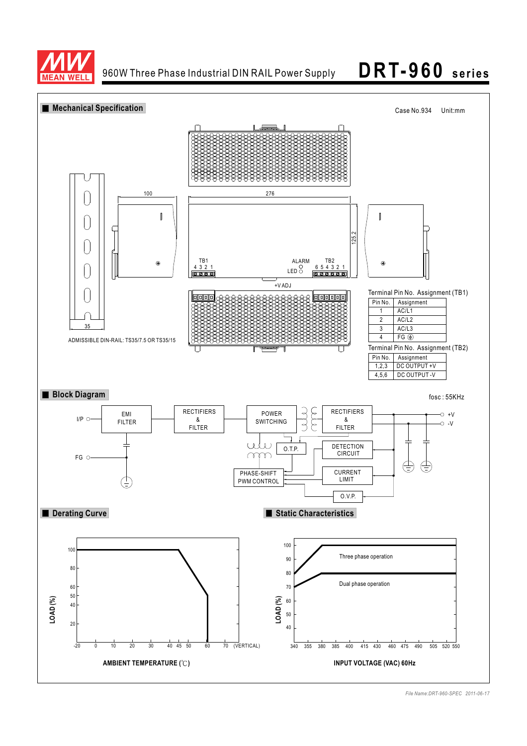